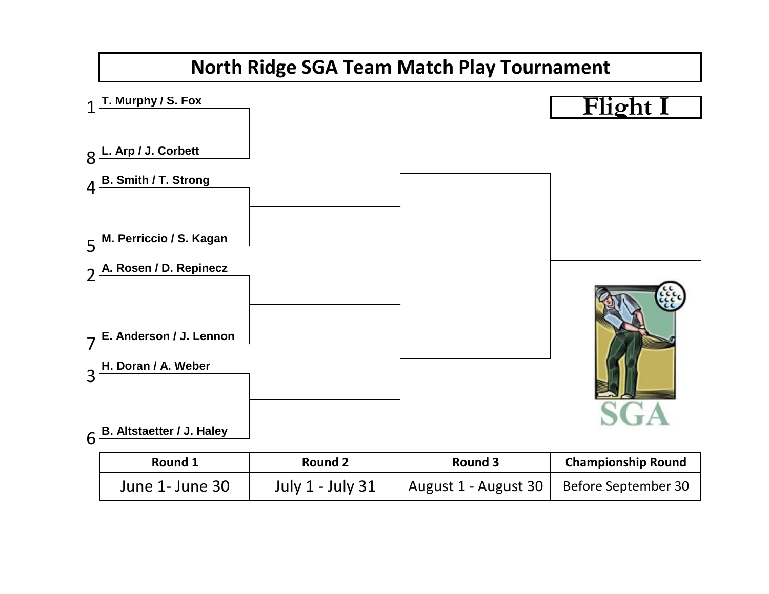

| Round 1         | Round 2          | Round 3              | <b>Championship Round</b> |
|-----------------|------------------|----------------------|---------------------------|
| June 1- June 30 | July 1 - July 31 | August 1 - August 30 | Before September 30       |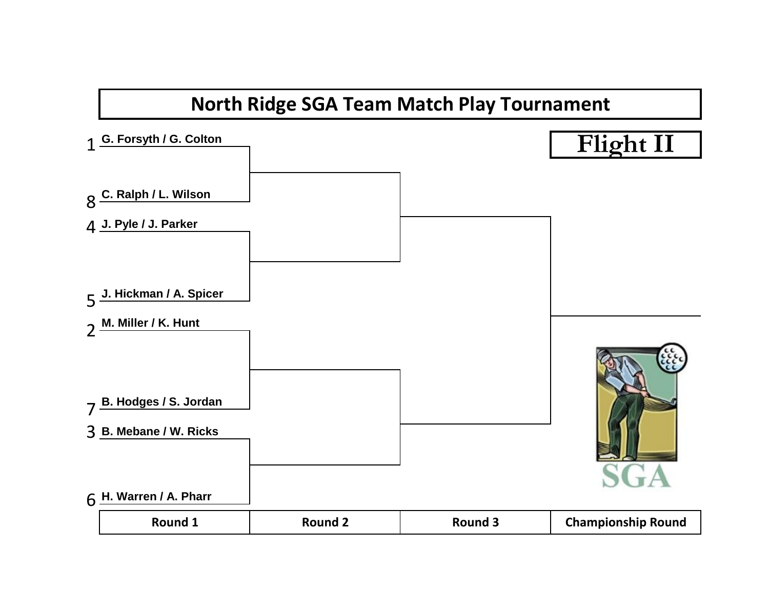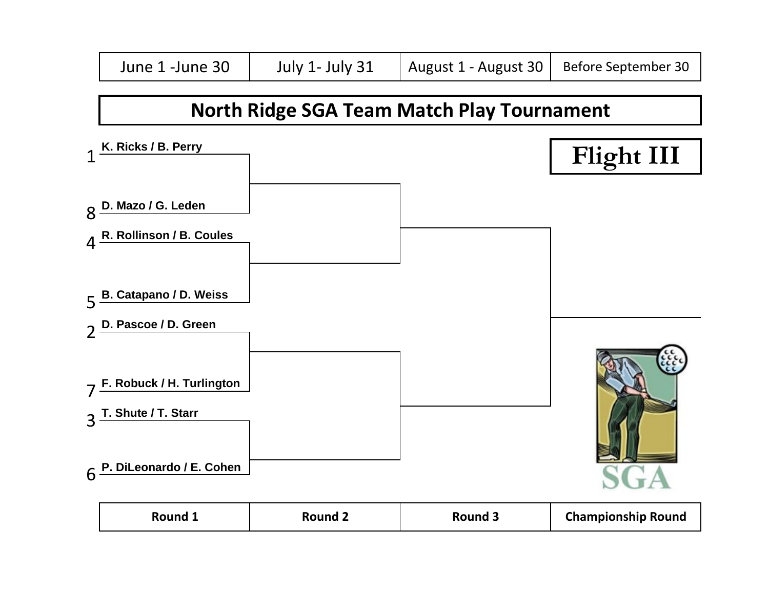

| <b>Championship Round</b><br>Round 1<br><b>Round 3</b><br>Round |
|-----------------------------------------------------------------|
|-----------------------------------------------------------------|